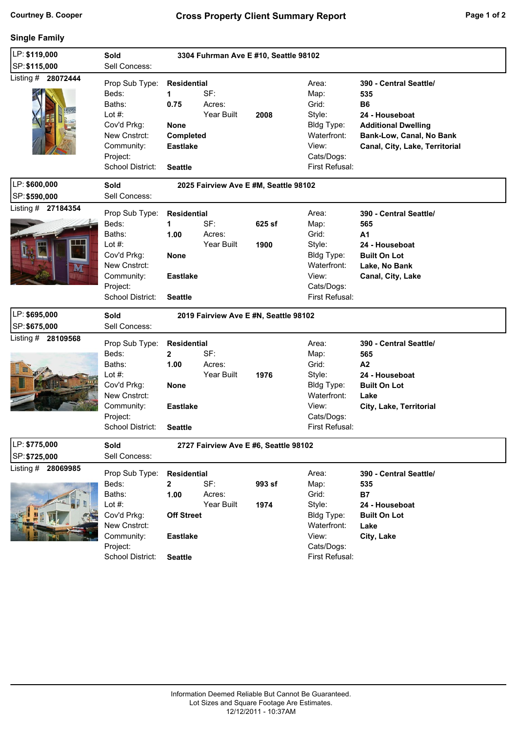## **Single Family**

| LP: \$119,000      | Sold<br>3304 Fuhrman Ave E #10, Seattle 98102                                                                               |                                                                                                            |                             |                |                                                                                                        |                                                                                                                                                          |  |  |  |  |  |
|--------------------|-----------------------------------------------------------------------------------------------------------------------------|------------------------------------------------------------------------------------------------------------|-----------------------------|----------------|--------------------------------------------------------------------------------------------------------|----------------------------------------------------------------------------------------------------------------------------------------------------------|--|--|--|--|--|
| SP: \$115,000      | Sell Concess:                                                                                                               |                                                                                                            |                             |                |                                                                                                        |                                                                                                                                                          |  |  |  |  |  |
| Listing # 28072444 | Prop Sub Type:<br>Beds:<br>Baths:<br>Lot $#$ :<br>Cov'd Prkg:<br>New Cnstrct:<br>Community:<br>Project:<br>School District: | <b>Residential</b><br>$\mathbf 1$<br>0.75<br><b>None</b><br>Completed<br><b>Eastlake</b><br><b>Seattle</b> | SF:<br>Acres:<br>Year Built | 2008           | Area:<br>Map:<br>Grid:<br>Style:<br>Bldg Type:<br>Waterfront:<br>View:<br>Cats/Dogs:<br>First Refusal: | 390 - Central Seattle/<br>535<br><b>B6</b><br>24 - Houseboat<br><b>Additional Dwelling</b><br>Bank-Low, Canal, No Bank<br>Canal, City, Lake, Territorial |  |  |  |  |  |
| LP: \$600,000      | Sold                                                                                                                        | 2025 Fairview Ave E #M, Seattle 98102                                                                      |                             |                |                                                                                                        |                                                                                                                                                          |  |  |  |  |  |
| SP: \$590,000      | Sell Concess:                                                                                                               |                                                                                                            |                             |                |                                                                                                        |                                                                                                                                                          |  |  |  |  |  |
| Listing # 27184354 | Prop Sub Type:<br>Beds:<br>Baths:<br>Lot $#$ :<br>Cov'd Prkg:<br>New Cnstrct:<br>Community:<br>Project:<br>School District: | <b>Residential</b><br>1<br>1.00<br><b>None</b><br><b>Eastlake</b><br><b>Seattle</b>                        | SF:<br>Acres:<br>Year Built | 625 sf<br>1900 | Area:<br>Map:<br>Grid:<br>Style:<br>Bldg Type:<br>Waterfront:<br>View:<br>Cats/Dogs:<br>First Refusal: | 390 - Central Seattle/<br>565<br>A <sub>1</sub><br>24 - Houseboat<br><b>Built On Lot</b><br>Lake, No Bank<br>Canal, City, Lake                           |  |  |  |  |  |
| LP: \$695,000      | Sold<br>2019 Fairview Ave E #N, Seattle 98102                                                                               |                                                                                                            |                             |                |                                                                                                        |                                                                                                                                                          |  |  |  |  |  |
| SP: \$675,000      | Sell Concess:                                                                                                               |                                                                                                            |                             |                |                                                                                                        |                                                                                                                                                          |  |  |  |  |  |
| Listing # 28109568 | Prop Sub Type:<br>Beds:<br>Baths:<br>Lot #:<br>Cov'd Prkg:<br>New Cnstrct:<br>Community:<br>Project:<br>School District:    | <b>Residential</b><br>$\mathbf{2}$<br>1.00<br><b>None</b><br><b>Eastlake</b><br><b>Seattle</b>             | SF:<br>Acres:<br>Year Built | 1976           | Area:<br>Map:<br>Grid:<br>Style:<br>Bldg Type:<br>Waterfront:<br>View:<br>Cats/Dogs:<br>First Refusal: | 390 - Central Seattle/<br>565<br>A2<br>24 - Houseboat<br><b>Built On Lot</b><br>Lake<br>City, Lake, Territorial                                          |  |  |  |  |  |
| LP: \$775,000      | Sold<br>2727 Fairview Ave E #6, Seattle 98102                                                                               |                                                                                                            |                             |                |                                                                                                        |                                                                                                                                                          |  |  |  |  |  |
| SP: \$725,000      | Sell Concess:                                                                                                               |                                                                                                            |                             |                |                                                                                                        |                                                                                                                                                          |  |  |  |  |  |
| Listing # 28069985 | Prop Sub Type:<br>Beds:<br>Baths:<br>Lot $#$ :<br>Cov'd Prkg:<br>New Cnstrct:<br>Community:                                 | <b>Residential</b><br>2<br>1.00<br><b>Off Street</b><br><b>Eastlake</b>                                    | SF:<br>Acres:<br>Year Built | 993 sf<br>1974 | Area:<br>Map:<br>Grid:<br>Style:<br>Bldg Type:<br>Waterfront:<br>View:                                 | 390 - Central Seattle/<br>535<br><b>B7</b><br>24 - Houseboat<br><b>Built On Lot</b><br>Lake<br>City, Lake                                                |  |  |  |  |  |